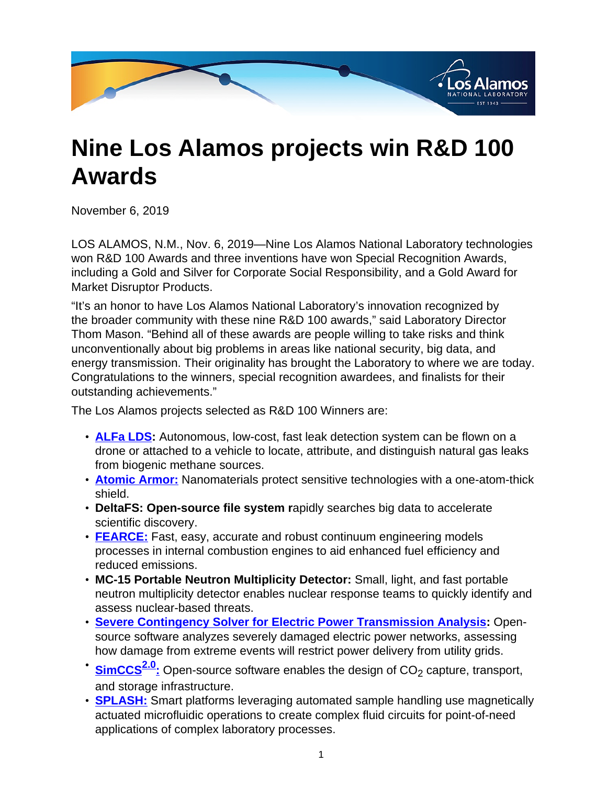

# **Nine Los Alamos projects win R&D 100 Awards**

November 6, 2019

LOS ALAMOS, N.M., Nov. 6, 2019—Nine Los Alamos National Laboratory technologies won R&D 100 Awards and three inventions have won Special Recognition Awards, including a Gold and Silver for Corporate Social Responsibility, and a Gold Award for Market Disruptor Products.

"It's an honor to have Los Alamos National Laboratory's innovation recognized by the broader community with these nine R&D 100 awards," said Laboratory Director Thom Mason. "Behind all of these awards are people willing to take risks and think unconventionally about big problems in areas like national security, big data, and energy transmission. Their originality has brought the Laboratory to where we are today. Congratulations to the winners, special recognition awardees, and finalists for their outstanding achievements."

The Los Alamos projects selected as R&D 100 Winners are:

- **[ALFa LDS](
					https://www.youtube.com/watch?v=i1hOEkTmhDc&feature=youtu.be):** Autonomous, low-cost, fast leak detection system can be flown on a drone or attached to a vehicle to locate, attribute, and distinguish natural gas leaks from biogenic methane sources.
- **[Atomic Armor:](
					https://www.youtube.com/watch?v=S4krKYGUopg&feature=youtu.be)** Nanomaterials protect sensitive technologies with a one-atom-thick shield.
- **DeltaFS: Open-source file system r**apidly searches big data to accelerate scientific discovery.
- **[FEARCE:](
					https://www.youtube.com/watch?v=S8OXZWxpWdM&feature=youtu.b)** Fast, easy, accurate and robust continuum engineering models processes in internal combustion engines to aid enhanced fuel efficiency and reduced emissions.
- **MC-15 Portable Neutron Multiplicity Detector:** Small, light, and fast portable neutron multiplicity detector enables nuclear response teams to quickly identify and assess nuclear-based threats.
- **[Severe Contingency Solver for Electric Power Transmission Analysis:](
					https://www.youtube.com/watch?v=toLSJX_swFU&feature=youtu.be)** Opensource software analyzes severely damaged electric power networks, assessing how damage from extreme events will restrict power delivery from utility grids.
- **[SimCCS](
					https://www.youtube.com/watch?v=YZtbfuKLI34&feature=youtu.be)**<sup>2.0</sup>: Open-source software enables the design of CO<sub>2</sub> capture, transport, and storage infrastructure.
- **[SPLASH:](
					https://www.youtube.com/watch?v=rmSNQRYnefk&feature=youtu.be)** Smart platforms leveraging automated sample handling use magnetically actuated microfluidic operations to create complex fluid circuits for point-of-need applications of complex laboratory processes.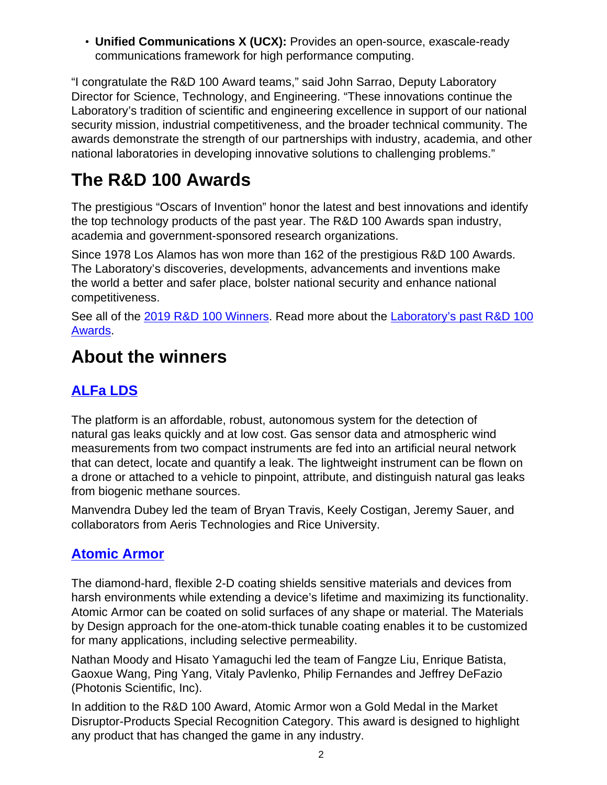• **Unified Communications X (UCX):** Provides an open-source, exascale-ready communications framework for high performance computing.

"I congratulate the R&D 100 Award teams," said John Sarrao, Deputy Laboratory Director for Science, Technology, and Engineering. "These innovations continue the Laboratory's tradition of scientific and engineering excellence in support of our national security mission, industrial competitiveness, and the broader technical community. The awards demonstrate the strength of our partnerships with industry, academia, and other national laboratories in developing innovative solutions to challenging problems."

# **The R&D 100 Awards**

The prestigious "Oscars of Invention" honor the latest and best innovations and identify the top technology products of the past year. The R&D 100 Awards span industry, academia and government-sponsored research organizations.

Since 1978 Los Alamos has won more than 162 of the prestigious R&D 100 Awards. The Laboratory's discoveries, developments, advancements and inventions make the world a better and safer place, bolster national security and enhance national competitiveness.

See all of the [2019 R&D 100 Winners](
					https://www.rdworldonline.com/2019-rd-100-award-winners-unveiled/). Read more about the [Laboratory's past R&D 100](
					https://www.lanl.gov/about/awards-achievements/rd100/index.php) [Awards](
					https://www.lanl.gov/about/awards-achievements/rd100/index.php).

# **About the winners**

## **[ALFa LDS](
					https://www.youtube.com/watch?v=i1hOEkTmhDc&feature=youtu.be)**

The platform is an affordable, robust, autonomous system for the detection of natural gas leaks quickly and at low cost. Gas sensor data and atmospheric wind measurements from two compact instruments are fed into an artificial neural network that can detect, locate and quantify a leak. The lightweight instrument can be flown on a drone or attached to a vehicle to pinpoint, attribute, and distinguish natural gas leaks from biogenic methane sources.

Manvendra Dubey led the team of Bryan Travis, Keely Costigan, Jeremy Sauer, and collaborators from Aeris Technologies and Rice University.

### **[Atomic Armor](
					https://www.youtube.com/watch?v=S4krKYGUopg&feature=youtu.be)**

The diamond-hard, flexible 2-D coating shields sensitive materials and devices from harsh environments while extending a device's lifetime and maximizing its functionality. Atomic Armor can be coated on solid surfaces of any shape or material. The Materials by Design approach for the one-atom-thick tunable coating enables it to be customized for many applications, including selective permeability.

Nathan Moody and Hisato Yamaguchi led the team of Fangze Liu, Enrique Batista, Gaoxue Wang, Ping Yang, Vitaly Pavlenko, Philip Fernandes and Jeffrey DeFazio (Photonis Scientific, Inc).

In addition to the R&D 100 Award, Atomic Armor won a Gold Medal in the Market Disruptor-Products Special Recognition Category. This award is designed to highlight any product that has changed the game in any industry.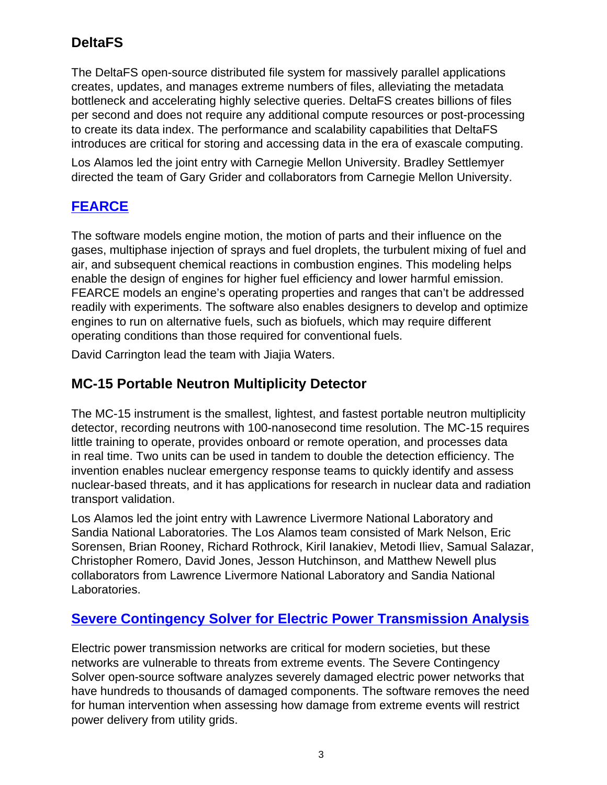### **DeltaFS**

The DeltaFS open-source distributed file system for massively parallel applications creates, updates, and manages extreme numbers of files, alleviating the metadata bottleneck and accelerating highly selective queries. DeltaFS creates billions of files per second and does not require any additional compute resources or post-processing to create its data index. The performance and scalability capabilities that DeltaFS introduces are critical for storing and accessing data in the era of exascale computing.

Los Alamos led the joint entry with Carnegie Mellon University. Bradley Settlemyer directed the team of Gary Grider and collaborators from Carnegie Mellon University.

#### **[FEARCE](
					https://www.youtube.com/watch?v=S8OXZWxpWdM&feature=youtu.b)**

The software models engine motion, the motion of parts and their influence on the gases, multiphase injection of sprays and fuel droplets, the turbulent mixing of fuel and air, and subsequent chemical reactions in combustion engines. This modeling helps enable the design of engines for higher fuel efficiency and lower harmful emission. FEARCE models an engine's operating properties and ranges that can't be addressed readily with experiments. The software also enables designers to develop and optimize engines to run on alternative fuels, such as biofuels, which may require different operating conditions than those required for conventional fuels.

David Carrington lead the team with Jiajia Waters.

#### **MC-15 Portable Neutron Multiplicity Detector**

The MC-15 instrument is the smallest, lightest, and fastest portable neutron multiplicity detector, recording neutrons with 100-nanosecond time resolution. The MC-15 requires little training to operate, provides onboard or remote operation, and processes data in real time. Two units can be used in tandem to double the detection efficiency. The invention enables nuclear emergency response teams to quickly identify and assess nuclear-based threats, and it has applications for research in nuclear data and radiation transport validation.

Los Alamos led the joint entry with Lawrence Livermore National Laboratory and Sandia National Laboratories. The Los Alamos team consisted of Mark Nelson, Eric Sorensen, Brian Rooney, Richard Rothrock, Kiril Ianakiev, Metodi Iliev, Samual Salazar, Christopher Romero, David Jones, Jesson Hutchinson, and Matthew Newell plus collaborators from Lawrence Livermore National Laboratory and Sandia National Laboratories.

#### **[Severe Contingency Solver for Electric Power Transmission Analysis](
					https://www.youtube.com/watch?v=toLSJX_swFU&feature=youtu.be)**

Electric power transmission networks are critical for modern societies, but these networks are vulnerable to threats from extreme events. The Severe Contingency Solver open-source software analyzes severely damaged electric power networks that have hundreds to thousands of damaged components. The software removes the need for human intervention when assessing how damage from extreme events will restrict power delivery from utility grids.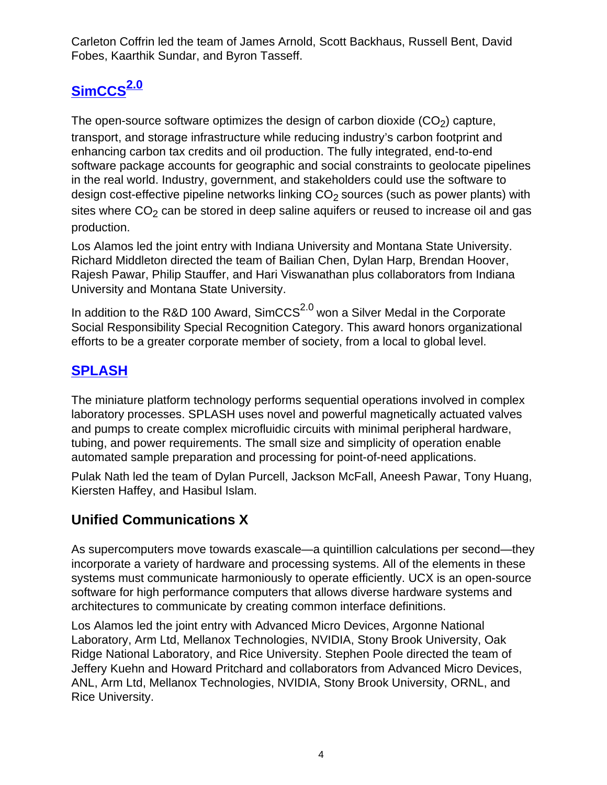Carleton Coffrin led the team of James Arnold, Scott Backhaus, Russell Bent, David Fobes, Kaarthik Sundar, and Byron Tasseff.

# **[SimCCS](
					https://www.youtube.com/watch?v=YZtbfuKLI34&feature=youtu.be)2.0**

The open-source software optimizes the design of carbon dioxide  $(CO<sub>2</sub>)$  capture, transport, and storage infrastructure while reducing industry's carbon footprint and enhancing carbon tax credits and oil production. The fully integrated, end-to-end software package accounts for geographic and social constraints to geolocate pipelines in the real world. Industry, government, and stakeholders could use the software to design cost-effective pipeline networks linking  $CO<sub>2</sub>$  sources (such as power plants) with sites where  $CO<sub>2</sub>$  can be stored in deep saline aquifers or reused to increase oil and gas production.

Los Alamos led the joint entry with Indiana University and Montana State University. Richard Middleton directed the team of Bailian Chen, Dylan Harp, Brendan Hoover, Rajesh Pawar, Philip Stauffer, and Hari Viswanathan plus collaborators from Indiana University and Montana State University.

In addition to the R&D 100 Award, SimCCS $^{2.0}$  won a Silver Medal in the Corporate Social Responsibility Special Recognition Category. This award honors organizational efforts to be a greater corporate member of society, from a local to global level.

### **[SPLASH](
					https://www.youtube.com/watch?v=rmSNQRYnefk&feature=youtu.be)**

The miniature platform technology performs sequential operations involved in complex laboratory processes. SPLASH uses novel and powerful magnetically actuated valves and pumps to create complex microfluidic circuits with minimal peripheral hardware, tubing, and power requirements. The small size and simplicity of operation enable automated sample preparation and processing for point-of-need applications.

Pulak Nath led the team of Dylan Purcell, Jackson McFall, Aneesh Pawar, Tony Huang, Kiersten Haffey, and Hasibul Islam.

### **Unified Communications X**

As supercomputers move towards exascale—a quintillion calculations per second—they incorporate a variety of hardware and processing systems. All of the elements in these systems must communicate harmoniously to operate efficiently. UCX is an open-source software for high performance computers that allows diverse hardware systems and architectures to communicate by creating common interface definitions.

Los Alamos led the joint entry with Advanced Micro Devices, Argonne National Laboratory, Arm Ltd, Mellanox Technologies, NVIDIA, Stony Brook University, Oak Ridge National Laboratory, and Rice University. Stephen Poole directed the team of Jeffery Kuehn and Howard Pritchard and collaborators from Advanced Micro Devices, ANL, Arm Ltd, Mellanox Technologies, NVIDIA, Stony Brook University, ORNL, and Rice University.